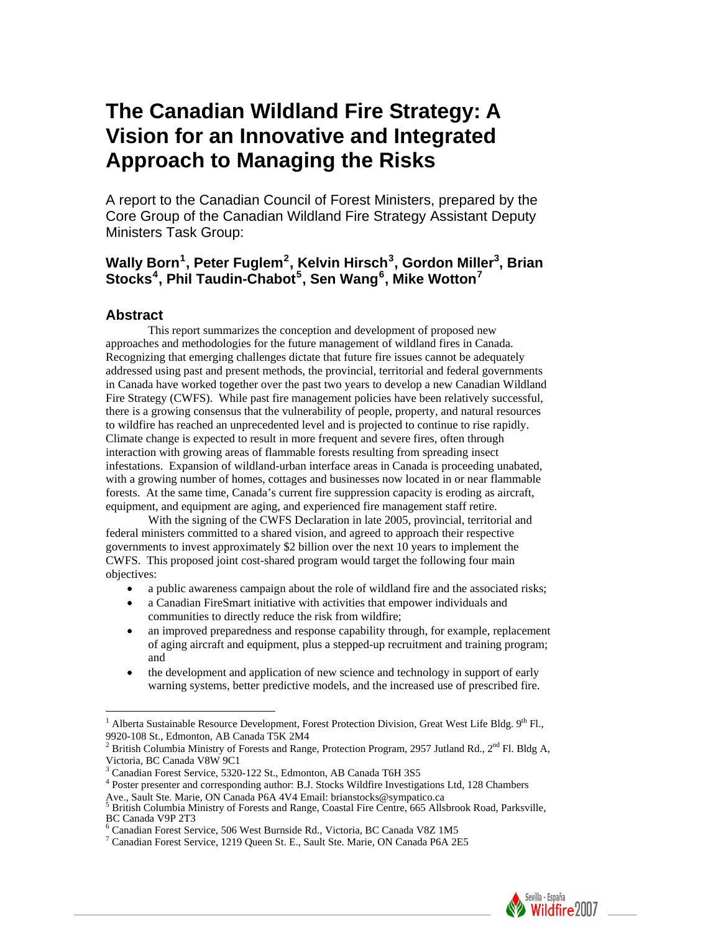# **The Canadian Wildland Fire Strategy: A Vision for an Innovative and Integrated Approach to Managing the Risks**

A report to the Canadian Council of Forest Ministers, prepared by the Core Group of the Canadian Wildland Fire Strategy Assistant Deputy Ministers Task Group:

## **Wally Born[1](#page-0-0) , Peter Fuglem[2](#page-0-1) , Kelvin Hirsch[3](#page-0-2) , Gordon Miller3 , Brian Stocks[4](#page-0-3) , Phil Taudin-Chabot[5](#page-0-4) , Sen Wang[6](#page-0-5) , Mike Wotton[7](#page-0-6)**

#### **Abstract**

 $\overline{a}$ 

 This report summarizes the conception and development of proposed new approaches and methodologies for the future management of wildland fires in Canada. Recognizing that emerging challenges dictate that future fire issues cannot be adequately addressed using past and present methods, the provincial, territorial and federal governments in Canada have worked together over the past two years to develop a new Canadian Wildland Fire Strategy (CWFS). While past fire management policies have been relatively successful, there is a growing consensus that the vulnerability of people, property, and natural resources to wildfire has reached an unprecedented level and is projected to continue to rise rapidly. Climate change is expected to result in more frequent and severe fires, often through interaction with growing areas of flammable forests resulting from spreading insect infestations. Expansion of wildland-urban interface areas in Canada is proceeding unabated, with a growing number of homes, cottages and businesses now located in or near flammable forests. At the same time, Canada's current fire suppression capacity is eroding as aircraft, equipment, and equipment are aging, and experienced fire management staff retire.

 With the signing of the CWFS Declaration in late 2005, provincial, territorial and federal ministers committed to a shared vision, and agreed to approach their respective governments to invest approximately \$2 billion over the next 10 years to implement the CWFS. This proposed joint cost-shared program would target the following four main objectives:

- a public awareness campaign about the role of wildland fire and the associated risks;
- a Canadian FireSmart initiative with activities that empower individuals and communities to directly reduce the risk from wildfire;
- an improved preparedness and response capability through, for example, replacement of aging aircraft and equipment, plus a stepped-up recruitment and training program; and
- the development and application of new science and technology in support of early warning systems, better predictive models, and the increased use of prescribed fire.



<span id="page-0-0"></span><sup>&</sup>lt;sup>1</sup> Alberta Sustainable Resource Development, Forest Protection Division, Great West Life Bldg. 9<sup>th</sup> Fl., 9920-108 St., Edmonton, AB Canada T5K 2M4

<span id="page-0-1"></span><sup>&</sup>lt;sup>2</sup> British Columbia Ministry of Forests and Range, Protection Program, 2957 Jutland Rd., 2<sup>nd</sup> Fl. Bldg A, Victoria, BC Canada V8W 9C1

 $^3$  Canadian Forest Service, 5320-122 St., Edmonton, AB Canada T6H 3S5<br> $^4$  Poster presents and corresponding outhor. B.J. Stocks Wildfire Investiga

<span id="page-0-3"></span><span id="page-0-2"></span>Poster presenter and corresponding author: B.J. Stocks Wildfire Investigations Ltd, 128 Chambers

<span id="page-0-4"></span>Ave., Sault Ste. Marie, ON Canada P6A 4V4 Email: brianstocks@sympatico.ca<br><sup>5</sup> British Columbia Ministry of Forests and Range, Coastal Fire Centre, 665 Allsbrook Road, Parksville, BC Canada V9P 2T3

<span id="page-0-5"></span><sup>&</sup>lt;sup>6</sup> Canadian Forest Service, 506 West Burnside Rd., Victoria, BC Canada V8Z 1M5<br><sup>7</sup> Canadian Forest Service, 1210 Oyean St. E., Sault Ste, Marie, ON Canada P6A 2E

<span id="page-0-6"></span> $^7$  Canadian Forest Service, 1219 Queen St. E., Sault Ste. Marie, ON Canada P6A 2E5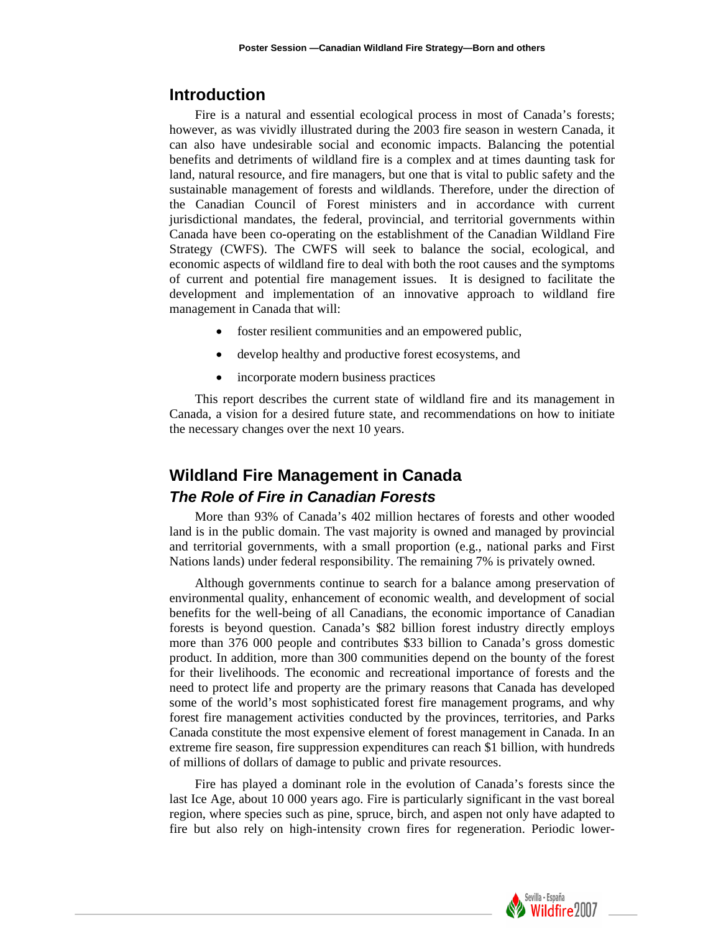#### **Introduction**

Fire is a natural and essential ecological process in most of Canada's forests; however, as was vividly illustrated during the 2003 fire season in western Canada, it can also have undesirable social and economic impacts. Balancing the potential benefits and detriments of wildland fire is a complex and at times daunting task for land, natural resource, and fire managers, but one that is vital to public safety and the sustainable management of forests and wildlands. Therefore, under the direction of the Canadian Council of Forest ministers and in accordance with current jurisdictional mandates, the federal, provincial, and territorial governments within Canada have been co-operating on the establishment of the Canadian Wildland Fire Strategy (CWFS). The CWFS will seek to balance the social, ecological, and economic aspects of wildland fire to deal with both the root causes and the symptoms of current and potential fire management issues. It is designed to facilitate the development and implementation of an innovative approach to wildland fire management in Canada that will:

- foster resilient communities and an empowered public,
- develop healthy and productive forest ecosystems, and
- incorporate modern business practices

This report describes the current state of wildland fire and its management in Canada, a vision for a desired future state, and recommendations on how to initiate the necessary changes over the next 10 years.

## **Wildland Fire Management in Canada**  *The Role of Fire in Canadian Forests*

More than 93% of Canada's 402 million hectares of forests and other wooded land is in the public domain. The vast majority is owned and managed by provincial and territorial governments, with a small proportion (e.g., national parks and First Nations lands) under federal responsibility. The remaining 7% is privately owned.

Although governments continue to search for a balance among preservation of environmental quality, enhancement of economic wealth, and development of social benefits for the well-being of all Canadians, the economic importance of Canadian forests is beyond question. Canada's \$82 billion forest industry directly employs more than 376 000 people and contributes \$33 billion to Canada's gross domestic product. In addition, more than 300 communities depend on the bounty of the forest for their livelihoods. The economic and recreational importance of forests and the need to protect life and property are the primary reasons that Canada has developed some of the world's most sophisticated forest fire management programs, and why forest fire management activities conducted by the provinces, territories, and Parks Canada constitute the most expensive element of forest management in Canada. In an extreme fire season, fire suppression expenditures can reach \$1 billion, with hundreds of millions of dollars of damage to public and private resources.

Fire has played a dominant role in the evolution of Canada's forests since the last Ice Age, about 10 000 years ago. Fire is particularly significant in the vast boreal region, where species such as pine, spruce, birch, and aspen not only have adapted to fire but also rely on high-intensity crown fires for regeneration. Periodic lower-

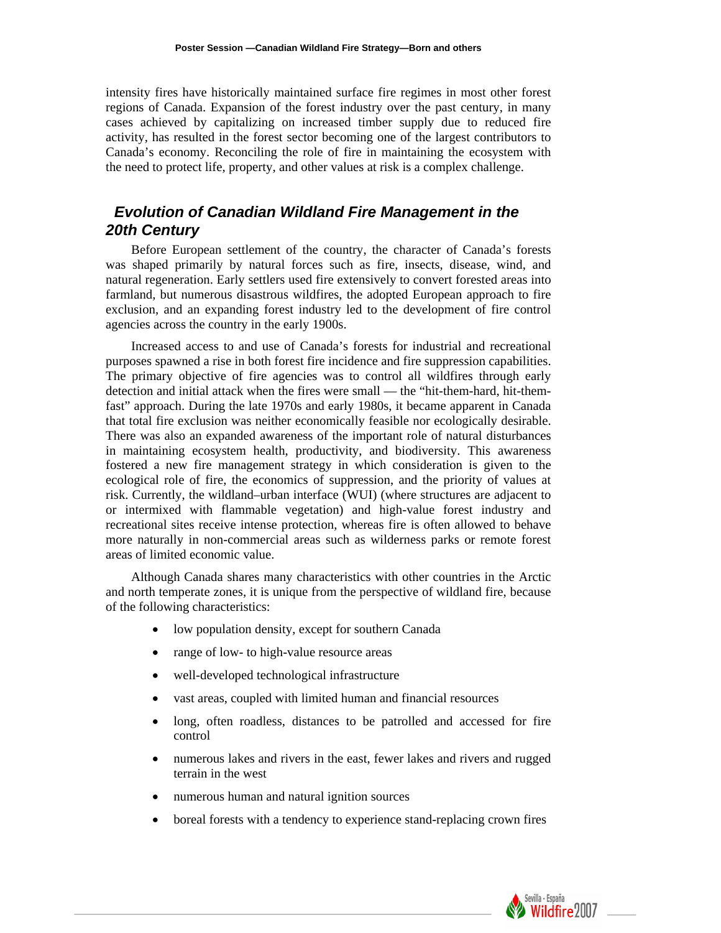intensity fires have historically maintained surface fire regimes in most other forest regions of Canada. Expansion of the forest industry over the past century, in many cases achieved by capitalizing on increased timber supply due to reduced fire activity, has resulted in the forest sector becoming one of the largest contributors to Canada's economy. Reconciling the role of fire in maintaining the ecosystem with the need to protect life, property, and other values at risk is a complex challenge.

## *3Evolution of Canadian Wildland Fire Management in the 20th Century*

Before European settlement of the country, the character of Canada's forests was shaped primarily by natural forces such as fire, insects, disease, wind, and natural regeneration. Early settlers used fire extensively to convert forested areas into farmland, but numerous disastrous wildfires, the adopted European approach to fire exclusion, and an expanding forest industry led to the development of fire control agencies across the country in the early 1900s.

Increased access to and use of Canada's forests for industrial and recreational purposes spawned a rise in both forest fire incidence and fire suppression capabilities. The primary objective of fire agencies was to control all wildfires through early detection and initial attack when the fires were small — the "hit-them-hard, hit-themfast" approach. During the late 1970s and early 1980s, it became apparent in Canada that total fire exclusion was neither economically feasible nor ecologically desirable. There was also an expanded awareness of the important role of natural disturbances in maintaining ecosystem health, productivity, and biodiversity. This awareness fostered a new fire management strategy in which consideration is given to the ecological role of fire, the economics of suppression, and the priority of values at risk. Currently, the wildland–urban interface (WUI) (where structures are adjacent to or intermixed with flammable vegetation) and high-value forest industry and recreational sites receive intense protection, whereas fire is often allowed to behave more naturally in non-commercial areas such as wilderness parks or remote forest areas of limited economic value.

Although Canada shares many characteristics with other countries in the Arctic and north temperate zones, it is unique from the perspective of wildland fire, because of the following characteristics:

- low population density, except for southern Canada
- range of low- to high-value resource areas
- well-developed technological infrastructure
- vast areas, coupled with limited human and financial resources
- long, often roadless, distances to be patrolled and accessed for fire control
- numerous lakes and rivers in the east, fewer lakes and rivers and rugged terrain in the west
- numerous human and natural ignition sources
- boreal forests with a tendency to experience stand-replacing crown fires

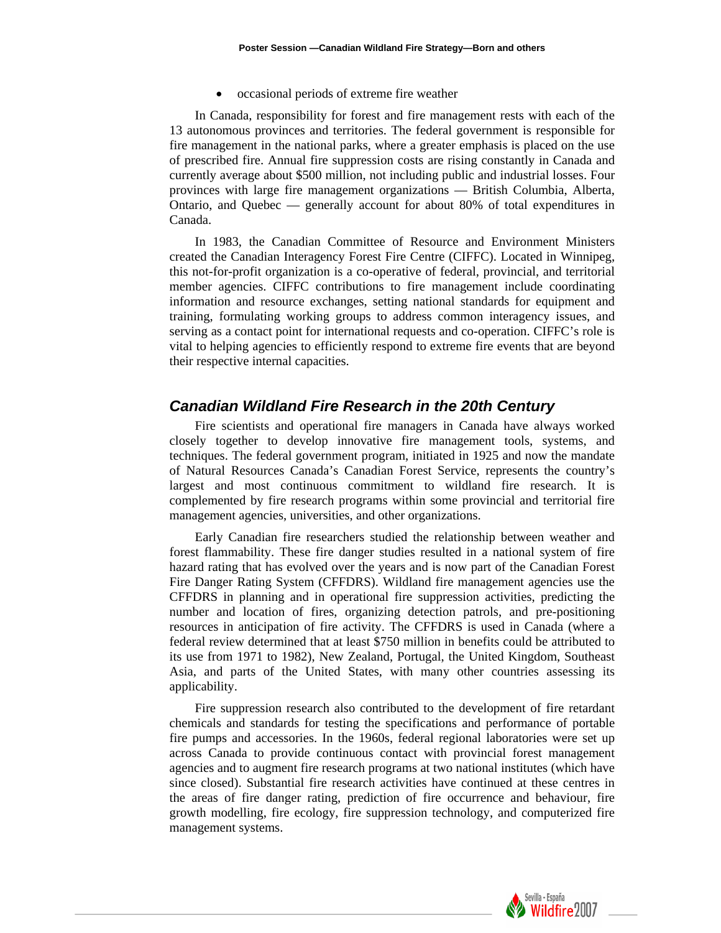• occasional periods of extreme fire weather

In Canada, responsibility for forest and fire management rests with each of the 13 autonomous provinces and territories. The federal government is responsible for fire management in the national parks, where a greater emphasis is placed on the use of prescribed fire. Annual fire suppression costs are rising constantly in Canada and currently average about \$500 million, not including public and industrial losses. Four provinces with large fire management organizations — British Columbia, Alberta, Ontario, and Quebec — generally account for about 80% of total expenditures in Canada.

In 1983, the Canadian Committee of Resource and Environment Ministers created the Canadian Interagency Forest Fire Centre (CIFFC). Located in Winnipeg, this not-for-profit organization is a co-operative of federal, provincial, and territorial member agencies. CIFFC contributions to fire management include coordinating information and resource exchanges, setting national standards for equipment and training, formulating working groups to address common interagency issues, and serving as a contact point for international requests and co-operation. CIFFC's role is vital to helping agencies to efficiently respond to extreme fire events that are beyond their respective internal capacities.

#### *Canadian Wildland Fire Research in the 20th Century*

Fire scientists and operational fire managers in Canada have always worked closely together to develop innovative fire management tools, systems, and techniques. The federal government program, initiated in 1925 and now the mandate of Natural Resources Canada's Canadian Forest Service, represents the country's largest and most continuous commitment to wildland fire research. It is complemented by fire research programs within some provincial and territorial fire management agencies, universities, and other organizations.

Early Canadian fire researchers studied the relationship between weather and forest flammability. These fire danger studies resulted in a national system of fire hazard rating that has evolved over the years and is now part of the Canadian Forest Fire Danger Rating System (CFFDRS). Wildland fire management agencies use the CFFDRS in planning and in operational fire suppression activities, predicting the number and location of fires, organizing detection patrols, and pre-positioning resources in anticipation of fire activity. The CFFDRS is used in Canada (where a federal review determined that at least \$750 million in benefits could be attributed to its use from 1971 to 1982), New Zealand, Portugal, the United Kingdom, Southeast Asia, and parts of the United States, with many other countries assessing its applicability.

Fire suppression research also contributed to the development of fire retardant chemicals and standards for testing the specifications and performance of portable fire pumps and accessories. In the 1960s, federal regional laboratories were set up across Canada to provide continuous contact with provincial forest management agencies and to augment fire research programs at two national institutes (which have since closed). Substantial fire research activities have continued at these centres in the areas of fire danger rating, prediction of fire occurrence and behaviour, fire growth modelling, fire ecology, fire suppression technology, and computerized fire management systems.

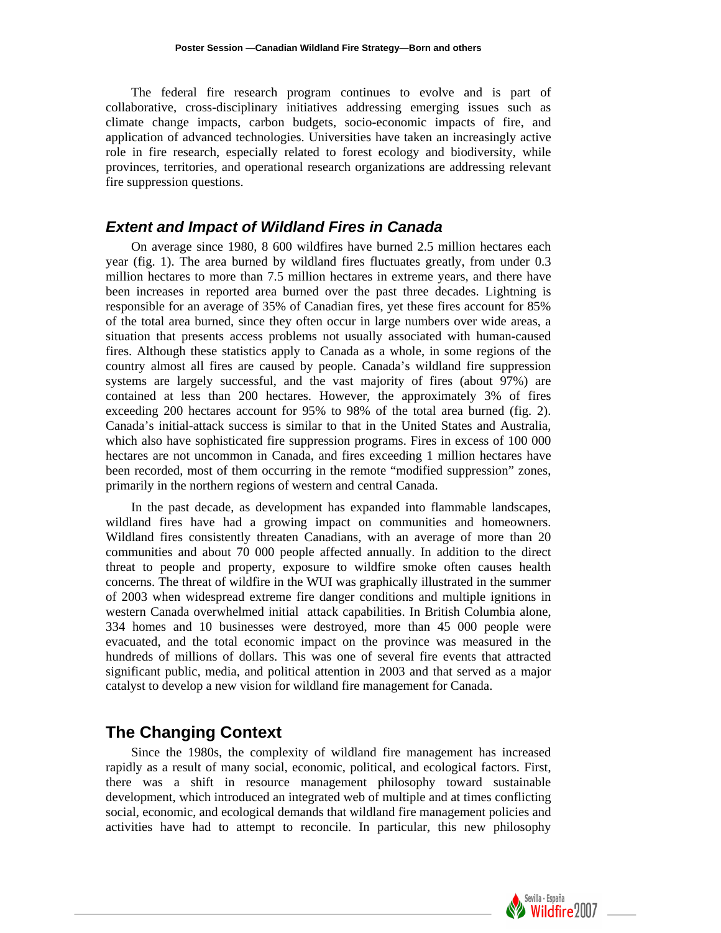The federal fire research program continues to evolve and is part of collaborative, cross-disciplinary initiatives addressing emerging issues such as climate change impacts, carbon budgets, socio-economic impacts of fire, and application of advanced technologies. Universities have taken an increasingly active role in fire research, especially related to forest ecology and biodiversity, while provinces, territories, and operational research organizations are addressing relevant fire suppression questions.

#### *Extent and Impact of Wildland Fires in Canada*

On average since 1980, 8 600 wildfires have burned 2.5 million hectares each year (fig. 1). The area burned by wildland fires fluctuates greatly, from under 0.3 million hectares to more than 7.5 million hectares in extreme years, and there have been increases in reported area burned over the past three decades. Lightning is responsible for an average of 35% of Canadian fires, yet these fires account for 85% of the total area burned, since they often occur in large numbers over wide areas, a situation that presents access problems not usually associated with human-caused fires. Although these statistics apply to Canada as a whole, in some regions of the country almost all fires are caused by people. Canada's wildland fire suppression systems are largely successful, and the vast majority of fires (about 97%) are contained at less than 200 hectares. However, the approximately 3% of fires exceeding 200 hectares account for 95% to 98% of the total area burned (fig. 2). Canada's initial-attack success is similar to that in the United States and Australia, which also have sophisticated fire suppression programs. Fires in excess of 100 000 hectares are not uncommon in Canada, and fires exceeding 1 million hectares have been recorded, most of them occurring in the remote "modified suppression" zones, primarily in the northern regions of western and central Canada.

In the past decade, as development has expanded into flammable landscapes, wildland fires have had a growing impact on communities and homeowners. Wildland fires consistently threaten Canadians, with an average of more than 20 communities and about 70 000 people affected annually. In addition to the direct threat to people and property, exposure to wildfire smoke often causes health concerns. The threat of wildfire in the WUI was graphically illustrated in the summer of 2003 when widespread extreme fire danger conditions and multiple ignitions in western Canada overwhelmed initial attack capabilities. In British Columbia alone, 334 homes and 10 businesses were destroyed, more than 45 000 people were evacuated, and the total economic impact on the province was measured in the hundreds of millions of dollars. This was one of several fire events that attracted significant public, media, and political attention in 2003 and that served as a major catalyst to develop a new vision for wildland fire management for Canada.

## **The Changing Context**

Since the 1980s, the complexity of wildland fire management has increased rapidly as a result of many social, economic, political, and ecological factors. First, there was a shift in resource management philosophy toward sustainable development, which introduced an integrated web of multiple and at times conflicting social, economic, and ecological demands that wildland fire management policies and activities have had to attempt to reconcile. In particular, this new philosophy

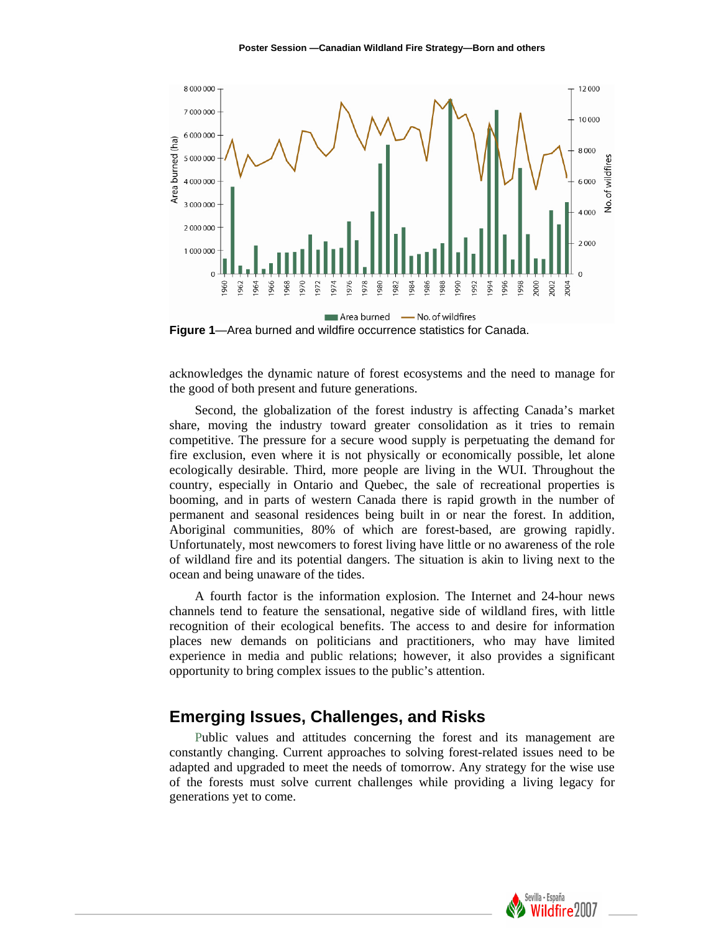

**Figure 1**—Area burned and wildfire occurrence statistics for Canada.

acknowledges the dynamic nature of forest ecosystems and the need to manage for the good of both present and future generations.

Second, the globalization of the forest industry is affecting Canada's market share, moving the industry toward greater consolidation as it tries to remain competitive. The pressure for a secure wood supply is perpetuating the demand for fire exclusion, even where it is not physically or economically possible, let alone ecologically desirable. Third, more people are living in the WUI. Throughout the country, especially in Ontario and Quebec, the sale of recreational properties is booming, and in parts of western Canada there is rapid growth in the number of permanent and seasonal residences being built in or near the forest. In addition, Aboriginal communities, 80% of which are forest-based, are growing rapidly. Unfortunately, most newcomers to forest living have little or no awareness of the role of wildland fire and its potential dangers. The situation is akin to living next to the ocean and being unaware of the tides.

A fourth factor is the information explosion. The Internet and 24-hour news channels tend to feature the sensational, negative side of wildland fires, with little recognition of their ecological benefits. The access to and desire for information places new demands on politicians and practitioners, who may have limited experience in media and public relations; however, it also provides a significant opportunity to bring complex issues to the public's attention.

## **Emerging Issues, Challenges, and Risks**

Public values and attitudes concerning the forest and its management are constantly changing. Current approaches to solving forest-related issues need to be adapted and upgraded to meet the needs of tomorrow. Any strategy for the wise use of the forests must solve current challenges while providing a living legacy for generations yet to come.

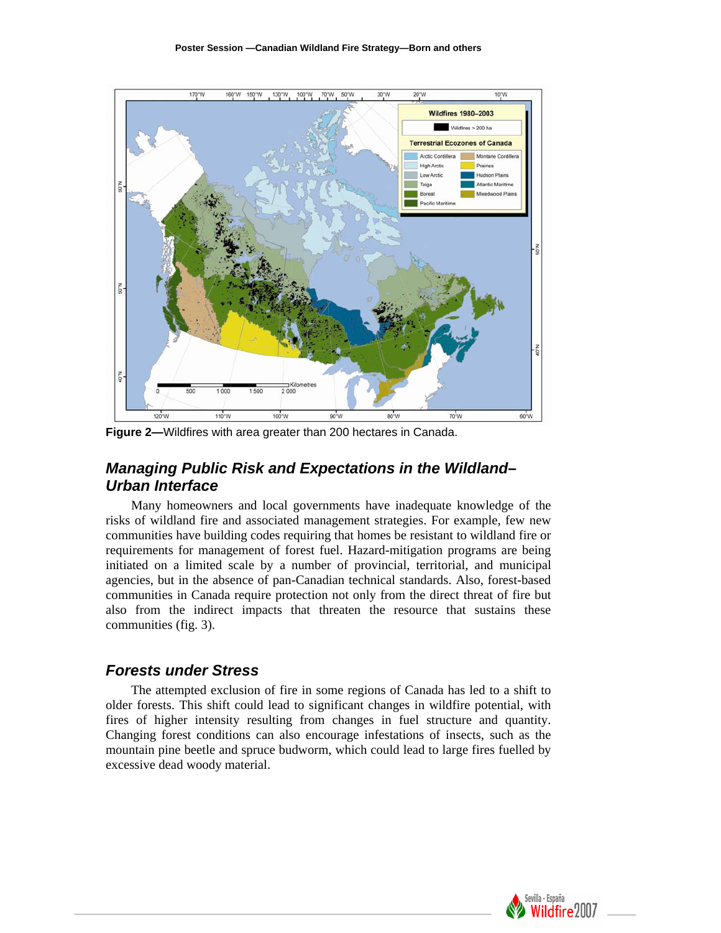

**Figure 2***—*Wildfires with area greater than 200 hectares in Canada.

## *Managing Public Risk and Expectations in the Wildland– Urban Interface*

Many homeowners and local governments have inadequate knowledge of the risks of wildland fire and associated management strategies. For example, few new communities have building codes requiring that homes be resistant to wildland fire or requirements for management of forest fuel. Hazard-mitigation programs are being initiated on a limited scale by a number of provincial, territorial, and municipal agencies, but in the absence of pan-Canadian technical standards. Also, forest-based communities in Canada require protection not only from the direct threat of fire but also from the indirect impacts that threaten the resource that sustains these communities (fig. 3).

#### *Forests under Stress*

The attempted exclusion of fire in some regions of Canada has led to a shift to older forests. This shift could lead to significant changes in wildfire potential, with fires of higher intensity resulting from changes in fuel structure and quantity. Changing forest conditions can also encourage infestations of insects, such as the mountain pine beetle and spruce budworm, which could lead to large fires fuelled by excessive dead woody material.

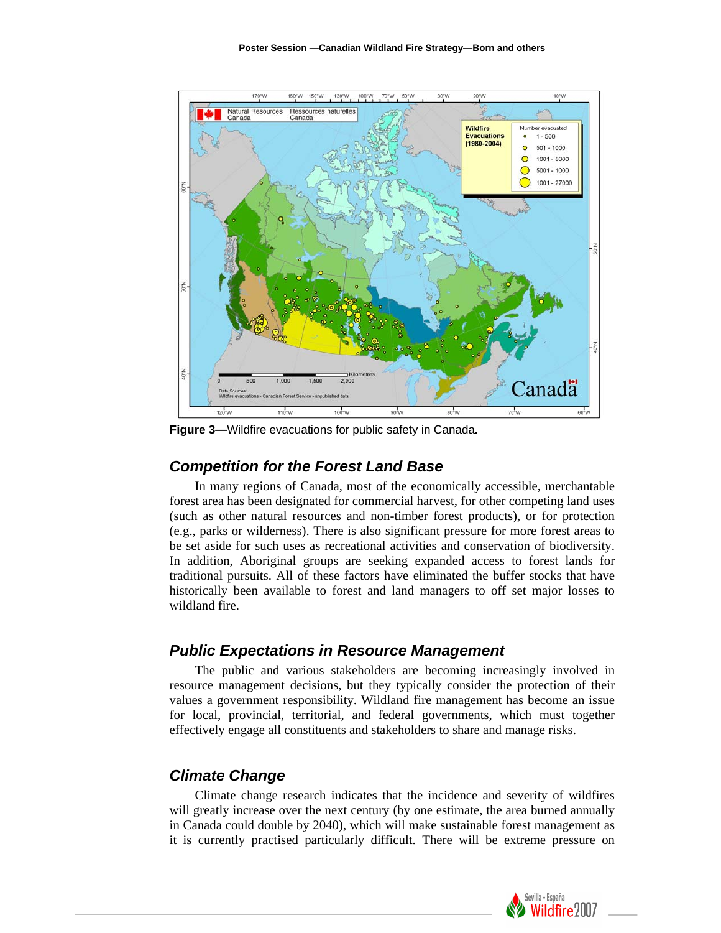

**Figure 3***—*Wildfire evacuations for public safety in Canada*.* 

#### *Competition for the Forest Land Base*

In many regions of Canada, most of the economically accessible, merchantable forest area has been designated for commercial harvest, for other competing land uses (such as other natural resources and non-timber forest products), or for protection (e.g., parks or wilderness). There is also significant pressure for more forest areas to be set aside for such uses as recreational activities and conservation of biodiversity. In addition, Aboriginal groups are seeking expanded access to forest lands for traditional pursuits. All of these factors have eliminated the buffer stocks that have historically been available to forest and land managers to off set major losses to wildland fire.

#### *Public Expectations in Resource Management*

The public and various stakeholders are becoming increasingly involved in resource management decisions, but they typically consider the protection of their values a government responsibility. Wildland fire management has become an issue for local, provincial, territorial, and federal governments, which must together effectively engage all constituents and stakeholders to share and manage risks.

#### *Climate Change*

Climate change research indicates that the incidence and severity of wildfires will greatly increase over the next century (by one estimate, the area burned annually in Canada could double by 2040), which will make sustainable forest management as it is currently practised particularly difficult. There will be extreme pressure on

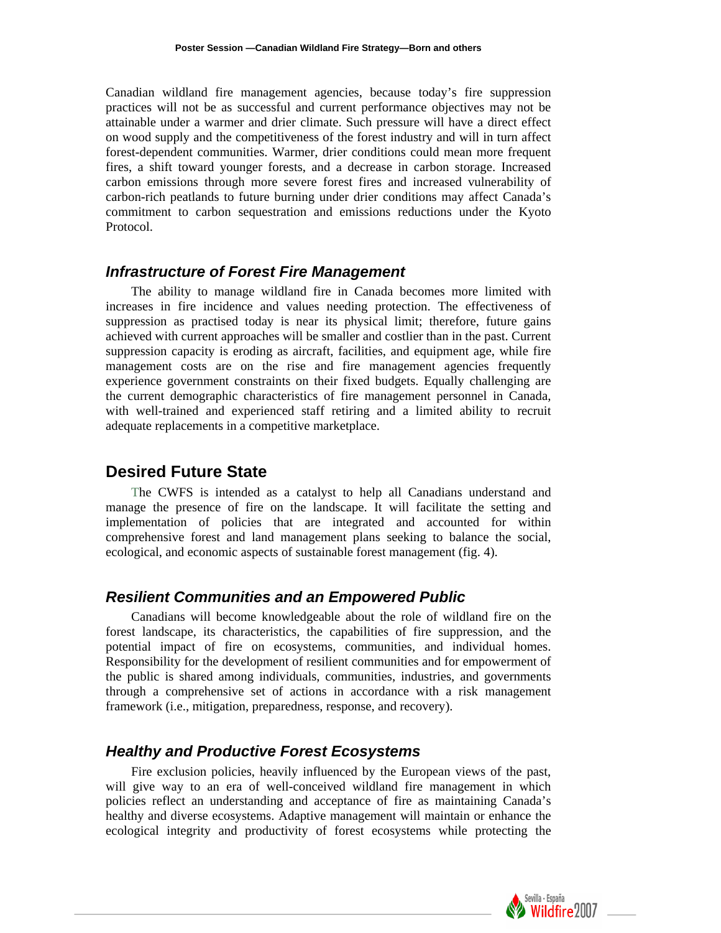Canadian wildland fire management agencies, because today's fire suppression practices will not be as successful and current performance objectives may not be attainable under a warmer and drier climate. Such pressure will have a direct effect on wood supply and the competitiveness of the forest industry and will in turn affect forest-dependent communities. Warmer, drier conditions could mean more frequent fires, a shift toward younger forests, and a decrease in carbon storage. Increased carbon emissions through more severe forest fires and increased vulnerability of carbon-rich peatlands to future burning under drier conditions may affect Canada's commitment to carbon sequestration and emissions reductions under the Kyoto Protocol.

#### *Infrastructure of Forest Fire Management*

The ability to manage wildland fire in Canada becomes more limited with incre ases in fire incidence and values needing protection. The effectiveness of suppression as practised today is near its physical limit; therefore, future gains achieved with current approaches will be smaller and costlier than in the past. Current suppression capacity is eroding as aircraft, facilities, and equipment age, while fire management costs are on the rise and fire management agencies frequently experience government constraints on their fixed budgets. Equally challenging are the current demographic characteristics of fire management personnel in Canada, with well-trained and experienced staff retiring and a limited ability to recruit adequate replacements in a competitive marketplace.

## **Desired Future State**

The CWFS is intended as a catalyst to help all Canadians understand and man age the presence of fire on the landscape. It will facilitate the setting and implementation of policies that are integrated and accounted for within comprehensive forest and land management plans seeking to balance the social, ecological, and economic aspects of sustainable forest management (fig. 4).

#### *Resilient Communities and an Empowered Public*

Canadians will become knowledgeable about the role of wildland fire on the fores t landscape, its characteristics, the capabilities of fire suppression, and the potential impact of fire on ecosystems, communities, and individual homes. Responsibility for the development of resilient communities and for empowerment of the public is shared among individuals, communities, industries, and governments through a comprehensive set of actions in accordance with a risk management framework (i.e., mitigation, preparedness, response, and recovery).

#### *Healthy and Productive Forest Ecosystems*

Fire exclusion policies, heavily influenced by the European views of the past, will give way to an era of well-conceived wildland fire management in which policies reflect an understanding and acceptance of fire as maintaining Canada's healthy and diverse ecosystems. Adaptive management will maintain or enhance the ecological integrity and productivity of forest ecosystems while protecting the

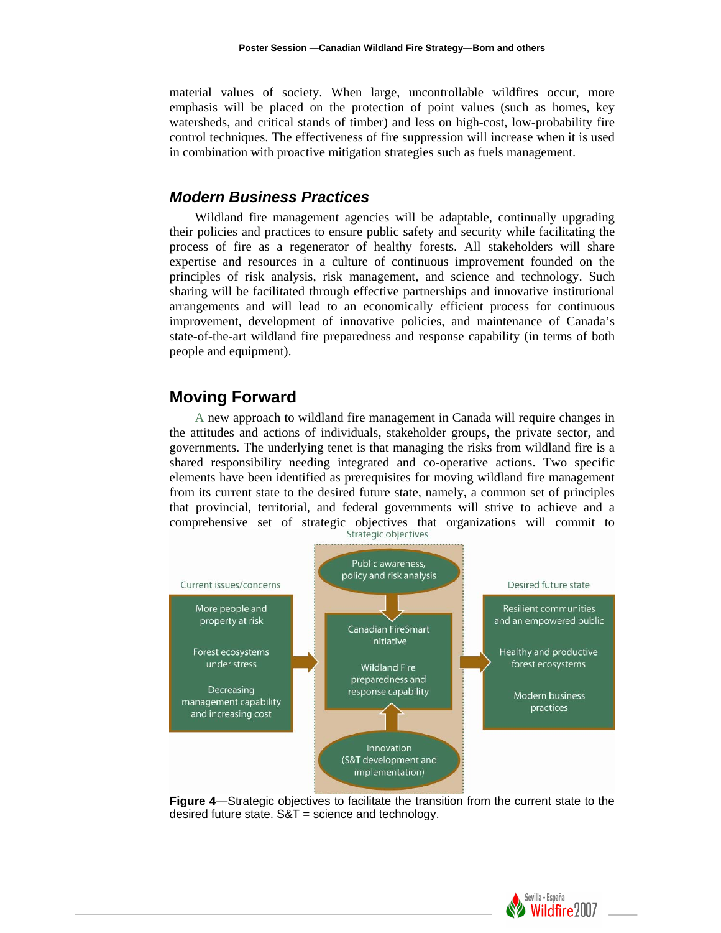material values of society. When large, uncontrollable wildfires occur, more emphasis will be placed on the protection of point values (such as homes, key watersheds, and critical stands of timber) and less on high-cost, low-probability fire control techniques. The effectiveness of fire suppression will increase when it is used in combination with proactive mitigation strategies such as fuels management.

#### *Modern Business Practices*

Wildland fire management agencies will be adaptable, continually upgrading their policies and practices to ensure public safety and security while facilitating the process of fire as a regenerator of healthy forests. All stakeholders will share expertise and resources in a culture of continuous improvement founded on the principles of risk analysis, risk management, and science and technology. Such sharing will be facilitated through effective partnerships and innovative institutional arrangements and will lead to an economically efficient process for continuous improvement, development of innovative policies, and maintenance of Canada's state-of-the-art wildland fire preparedness and response capability (in terms of both people and equipment).

#### **Moving Forward**

A new approach to wildland fire management in Canada will require changes in the a ttitudes and actions of individuals, stakeholder groups, the private sector, and governments. The underlying tenet is that managing the risks from wildland fire is a shared responsibility needing integrated and co-operative actions. Two specific elements have been identified as prerequisites for moving wildland fire management from its current state to the desired future state, namely, a common set of principles that provincial, territorial, and federal governments will strive to achieve and a comprehensive set of strategic objectives that organizations will commit to



**Figure 4**—Strategic objectives to facilitate the transition from the current state to the desired future state.  $S&T =$  science and technology.

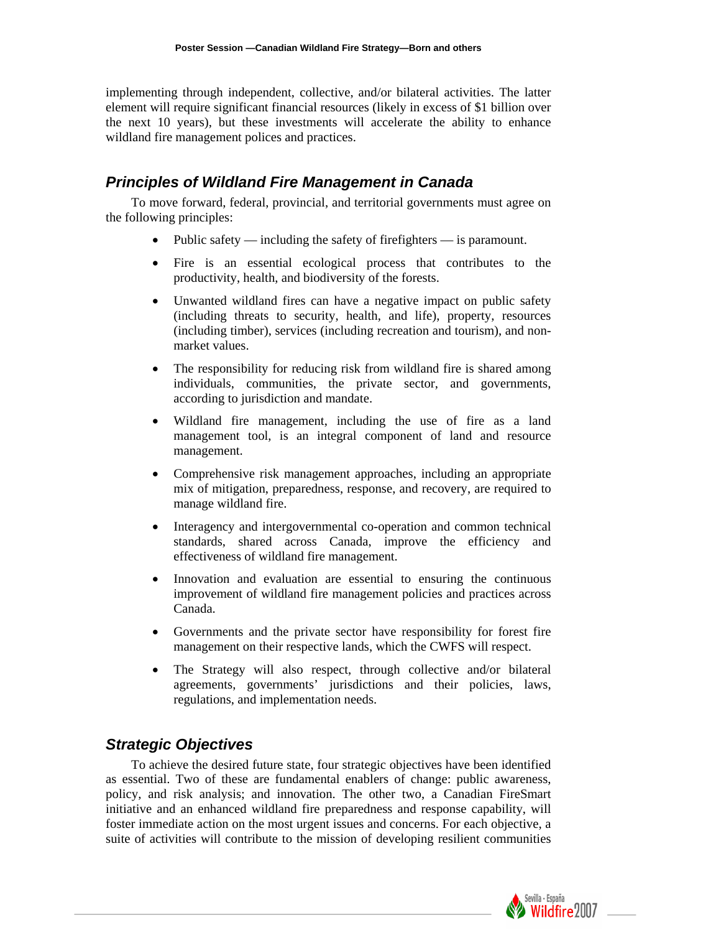implementing through independent, collective, and/or bilateral activities. The latter element will require significant financial resources (likely in excess of \$1 billion over the next 10 years), but these investments will accelerate the ability to enhance wildland fire management polices and practices.

### *Principles of Wildland Fire Management in Canada*

To move forward, federal, provincial, and territorial governments must agree on the f ollowing principles:

- Public safety including the safety of firefighters is paramount.
- Fire is an essential ecological process that contributes to the productivity, health, and biodiversity of the forests.
- Unwanted wildland fires can have a negative impact on public safety (including threats to security, health, and life), property, resources (including timber), services (including recreation and tourism), and nonmarket values.
- The responsibility for reducing risk from wildland fire is shared among individuals, communities, the private sector, and governments, according to jurisdiction and mandate.
- Wildland fire management, including the use of fire as a land management tool, is an integral component of land and resource management.
- Comprehensive risk management approaches, including an appropriate mix of mitigation, preparedness, response, and recovery, are required to manage wildland fire.
- Interagency and intergovernmental co-operation and common technical standards, shared across Canada, improve the efficiency and effectiveness of wildland fire management.
- Innovation and evaluation are essential to ensuring the continuous improvement of wildland fire management policies and practices across Canada.
- Governments and the private sector have responsibility for forest fire management on their respective lands, which the CWFS will respect.
- The Strategy will also respect, through collective and/or bilateral agreements, governments' jurisdictions and their policies, laws, regulations, and implementation needs.

## *Strategic Objectives*

To achieve the desired future state, four strategic objectives have been identified as essential. Two of these are fundamental enablers of change: public awareness, policy, and risk analysis; and innovation. The other two, a Canadian FireSmart initiative and an enhanced wildland fire preparedness and response capability, will foster immediate action on the most urgent issues and concerns. For each objective, a suite of activities will contribute to the mission of developing resilient communities

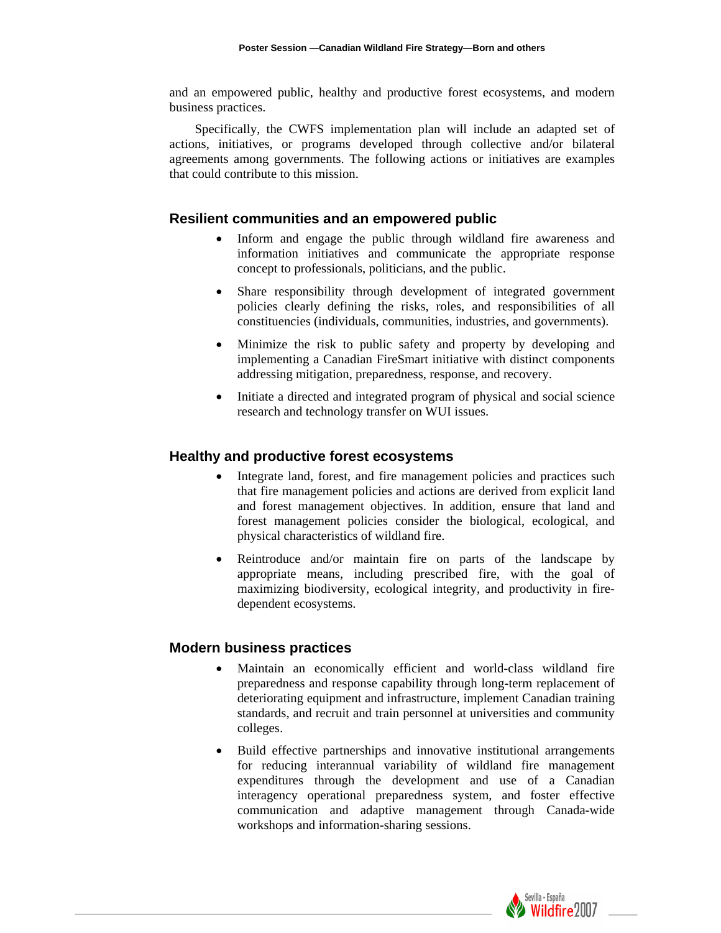and an empowered public, healthy and productive forest ecosystems, and modern business practices.

Specifically, the CWFS implementation plan will include an adapted set of actions, initiatives, or programs developed through collective and/or bilateral agre ements among governments. The following actions or initiatives are examples that could contribute to this mission.

#### **Resilient communities and an empowered public**

- Inform and engage the public through wildland fire awareness and information initiatives and communicate the appropriate response concept to professionals, politicians, and the public.
- policies clearly defining the risks, roles, and responsibilities of all Share responsibility through development of integrated government constituencies (individuals, communities, industries, and governments).
- Minimize the risk to public safety and property by developing and implementing a Canadian FireSmart initiative with distinct components addressing mitigation, preparedness, response, and recovery.
- Initiate a directed and integrated program of physical and social science research and technology transfer on WUI issues.

#### **Healthy and productive forest ecosystems**

- Integrate land, forest, and fire management policies and practices such that fire management policies and actions are derived from explicit land and forest management objectives. In addition, ensure that land and forest management policies consider the biological, ecological, and physical characteristics of wildland fire.
- appropriate means, including prescribed fire, with the goal of Reintroduce and/or maintain fire on parts of the landscape by maximizing biodiversity, ecological integrity, and productivity in firedependent ecosystems.

#### **Modern business practices**

- Maintain an economically efficient and world-class wildland fire preparedness and response capability through long-term replacement of deteriorating equipment and infrastructure, implement Canadian training standards, and recruit and train personnel at universities and community colleges.
- for reducing interannual variability of wildland fire management Build effective partnerships and innovative institutional arrangements expenditures through the development and use of a Canadian interagency operational preparedness system, and foster effective communication and adaptive management through Canada-wide workshops and information-sharing sessions.